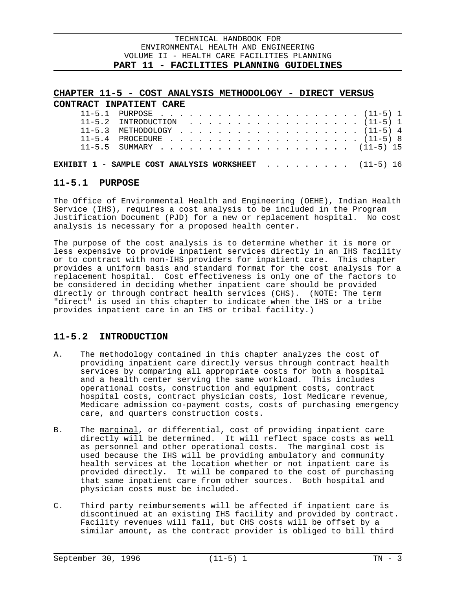$\overline{a}$ 

# **CHAPTER 11-5 - COST ANALYSIS METHODOLOGY - DIRECT VERSUS**

| CONTRACT INPATIENT CARE                                     |                                |  |  |  |  |  |  |  |  |  |  |  |
|-------------------------------------------------------------|--------------------------------|--|--|--|--|--|--|--|--|--|--|--|
|                                                             |                                |  |  |  |  |  |  |  |  |  |  |  |
|                                                             | $11-5.2$ INTRODUCTION (11-5) 1 |  |  |  |  |  |  |  |  |  |  |  |
|                                                             | $11-5.3$ METHODOLOGY (11-5) 4  |  |  |  |  |  |  |  |  |  |  |  |
|                                                             |                                |  |  |  |  |  |  |  |  |  |  |  |
|                                                             |                                |  |  |  |  |  |  |  |  |  |  |  |
|                                                             |                                |  |  |  |  |  |  |  |  |  |  |  |
| <b>EXHIBIT 1 - SAMPLE COST ANALYSIS WORKSHEET</b> (11-5) 16 |                                |  |  |  |  |  |  |  |  |  |  |  |

# **11-5.1 PURPOSE**

The Office of Environmental Health and Engineering (OEHE), Indian Health Service (IHS), requires a cost analysis to be included in the Program Justification Document (PJD) for a new or replacement hospital. No cost analysis is necessary for a proposed health center.

The purpose of the cost analysis is to determine whether it is more or less expensive to provide inpatient services directly in an IHS facility or to contract with non-IHS providers for inpatient care. This chapter provides a uniform basis and standard format for the cost analysis for a replacement hospital. Cost effectiveness is only one of the factors to be considered in deciding whether inpatient care should be provided directly or through contract health services (CHS). (NOTE: The term "direct" is used in this chapter to indicate when the IHS or a tribe provides inpatient care in an IHS or tribal facility.)

# **11-5.2 INTRODUCTION**

- A. The methodology contained in this chapter analyzes the cost of providing inpatient care directly versus through contract health services by comparing all appropriate costs for both a hospital and a health center serving the same workload. This includes operational costs, construction and equipment costs, contract hospital costs, contract physician costs, lost Medicare revenue, Medicare admission co-payment costs, costs of purchasing emergency care, and quarters construction costs.
- B. The marginal, or differential, cost of providing inpatient care directly will be determined. It will reflect space costs as well as personnel and other operational costs. The marginal cost is used because the IHS will be providing ambulatory and community health services at the location whether or not inpatient care is provided directly. It will be compared to the cost of purchasing that same inpatient care from other sources. Both hospital and physician costs must be included.
- C. Third party reimbursements will be affected if inpatient care is discontinued at an existing IHS facility and provided by contract. Facility revenues will fall, but CHS costs will be offset by a similar amount, as the contract provider is obliged to bill third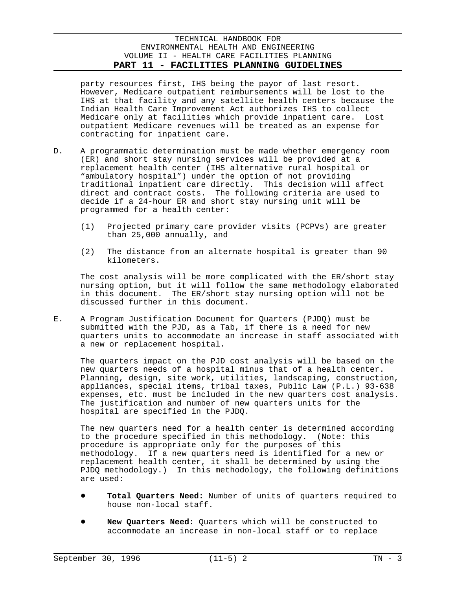party resources first, IHS being the payor of last resort. However, Medicare outpatient reimbursements will be lost to the IHS at that facility and any satellite health centers because the Indian Health Care Improvement Act authorizes IHS to collect Medicare only at facilities which provide inpatient care. Lost outpatient Medicare revenues will be treated as an expense for contracting for inpatient care.

- D. A programmatic determination must be made whether emergency room (ER) and short stay nursing services will be provided at a replacement health center (IHS alternative rural hospital or "ambulatory hospital") under the option of not providing traditional inpatient care directly. This decision will affect direct and contract costs. The following criteria are used to decide if a 24-hour ER and short stay nursing unit will be programmed for a health center:
	- (1) Projected primary care provider visits (PCPVs) are greater than 25,000 annually, and
	- (2) The distance from an alternate hospital is greater than 90 kilometers.

The cost analysis will be more complicated with the ER/short stay nursing option, but it will follow the same methodology elaborated in this document. The ER/short stay nursing option will not be discussed further in this document.

E. A Program Justification Document for Quarters (PJDQ) must be submitted with the PJD, as a Tab, if there is a need for new quarters units to accommodate an increase in staff associated with a new or replacement hospital.

The quarters impact on the PJD cost analysis will be based on the new quarters needs of a hospital minus that of a health center. Planning, design, site work, utilities, landscaping, construction, appliances, special items, tribal taxes, Public Law (P.L.) 93-638 expenses, etc. must be included in the new quarters cost analysis. The justification and number of new quarters units for the hospital are specified in the PJDQ.

The new quarters need for a health center is determined according to the procedure specified in this methodology. (Note: this procedure is appropriate only for the purposes of this methodology. If a new quarters need is identified for a new or replacement health center, it shall be determined by using the PJDQ methodology.) In this methodology, the following definitions are used:

- Total Quarters Need: Number of units of quarters required to house non-local staff.
- New Quarters Need: Quarters which will be constructed to accommodate an increase in non-local staff or to replace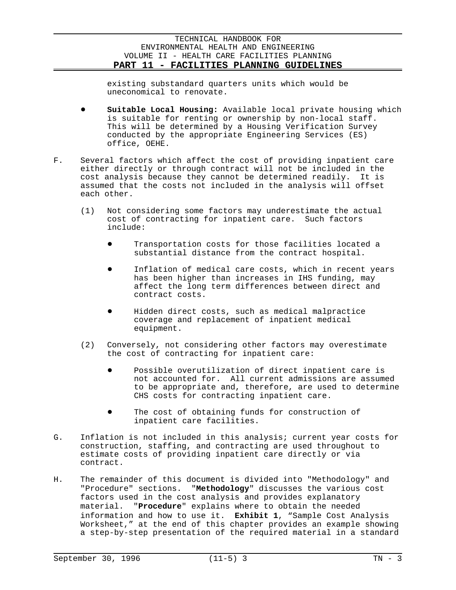existing substandard quarters units which would be uneconomical to renovate.

- Suitable Local Housing: Available local private housing which is suitable for renting or ownership by non-local staff. This will be determined by a Housing Verification Survey conducted by the appropriate Engineering Services (ES) office, OEHE.
- F. Several factors which affect the cost of providing inpatient care either directly or through contract will not be included in the cost analysis because they cannot be determined readily. It is assumed that the costs not included in the analysis will offset each other.
	- (1) Not considering some factors may underestimate the actual cost of contracting for inpatient care. Such factors include:
		- Transportation costs for those facilities located a substantial distance from the contract hospital.
		- Inflation of medical care costs, which in recent years has been higher than increases in IHS funding, may affect the long term differences between direct and contract costs.
		- Hidden direct costs, such as medical malpractice coverage and replacement of inpatient medical equipment.
	- (2) Conversely, not considering other factors may overestimate the cost of contracting for inpatient care:
		- Possible overutilization of direct inpatient care is not accounted for. All current admissions are assumed to be appropriate and, therefore, are used to determine CHS costs for contracting inpatient care.
		- The cost of obtaining funds for construction of inpatient care facilities.
- G. Inflation is not included in this analysis; current year costs for construction, staffing, and contracting are used throughout to estimate costs of providing inpatient care directly or via contract.
- H. The remainder of this document is divided into "Methodology" and "Procedure" sections. "**Methodology**" discusses the various cost factors used in the cost analysis and provides explanatory material. "**Procedure**" explains where to obtain the needed information and how to use it. **Exhibit 1**, "Sample Cost Analysis Worksheet," at the end of this chapter provides an example showing a step-by-step presentation of the required material in a standard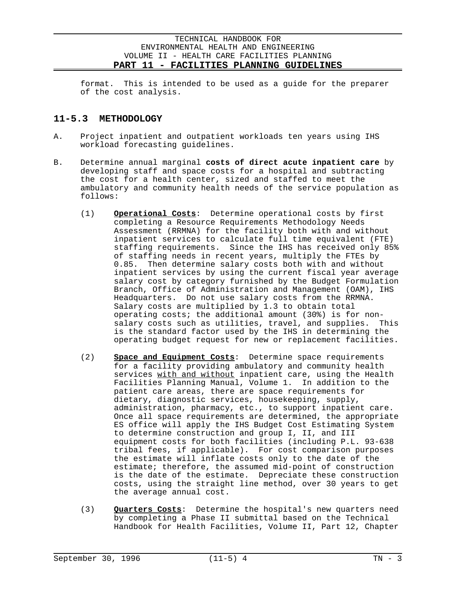format. This is intended to be used as a guide for the preparer of the cost analysis.

# **11-5.3 METHODOLOGY**

- A. Project inpatient and outpatient workloads ten years using IHS workload forecasting guidelines.
- B. Determine annual marginal **costs of direct acute inpatient care** by developing staff and space costs for a hospital and subtracting the cost for a health center, sized and staffed to meet the ambulatory and community health needs of the service population as follows:
	- (1) **Operational Costs**: Determine operational costs by first completing a Resource Requirements Methodology Needs Assessment (RRMNA) for the facility both with and without inpatient services to calculate full time equivalent (FTE) staffing requirements. Since the IHS has received only 85% of staffing needs in recent years, multiply the FTEs by 0.85. Then determine salary costs both with and without inpatient services by using the current fiscal year average salary cost by category furnished by the Budget Formulation Branch, Office of Administration and Management (OAM), IHS Headquarters. Do not use salary costs from the RRMNA. Salary costs are multiplied by 1.3 to obtain total operating costs; the additional amount (30%) is for nonsalary costs such as utilities, travel, and supplies. This is the standard factor used by the IHS in determining the operating budget request for new or replacement facilities.
	- (2) **Space and Equipment Costs**: Determine space requirements for a facility providing ambulatory and community health services with and without inpatient care, using the Health Facilities Planning Manual, Volume 1. In addition to the patient care areas, there are space requirements for dietary, diagnostic services, housekeeping, supply, administration, pharmacy, etc., to support inpatient care. Once all space requirements are determined, the appropriate ES office will apply the IHS Budget Cost Estimating System to determine construction and group I, II, and III equipment costs for both facilities (including P.L. 93-638 tribal fees, if applicable). For cost comparison purposes the estimate will inflate costs only to the date of the estimate; therefore, the assumed mid-point of construction is the date of the estimate. Depreciate these construction costs, using the straight line method, over 30 years to get the average annual cost.
	- (3) **Quarters Costs**: Determine the hospital's new quarters need by completing a Phase II submittal based on the Technical Handbook for Health Facilities, Volume II, Part 12, Chapter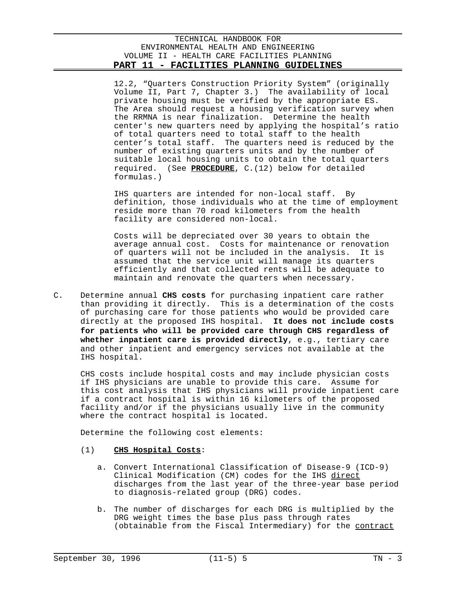12.2, "Quarters Construction Priority System" (originally Volume II, Part 7, Chapter 3.) The availability of local private housing must be verified by the appropriate ES. The Area should request a housing verification survey when the RRMNA is near finalization. Determine the health center's new quarters need by applying the hospital's ratio of total quarters need to total staff to the health center's total staff. The quarters need is reduced by the number of existing quarters units and by the number of suitable local housing units to obtain the total quarters required. (See **PROCEDURE**, C.(12) below for detailed formulas.)

IHS quarters are intended for non-local staff. By definition, those individuals who at the time of employment reside more than 70 road kilometers from the health facility are considered non-local.

Costs will be depreciated over 30 years to obtain the average annual cost. Costs for maintenance or renovation of quarters will not be included in the analysis. It is assumed that the service unit will manage its quarters efficiently and that collected rents will be adequate to maintain and renovate the quarters when necessary.

C. Determine annual **CHS costs** for purchasing inpatient care rather than providing it directly. This is a determination of the costs of purchasing care for those patients who would be provided care directly at the proposed IHS hospital. **It does not include costs for patients who will be provided care through CHS regardless of whether inpatient care is provided directly**, e.g., tertiary care and other inpatient and emergency services not available at the IHS hospital.

CHS costs include hospital costs and may include physician costs if IHS physicians are unable to provide this care. Assume for this cost analysis that IHS physicians will provide inpatient care if a contract hospital is within 16 kilometers of the proposed facility and/or if the physicians usually live in the community where the contract hospital is located.

Determine the following cost elements:

### (1) **CHS Hospital Costs**:

- a. Convert International Classification of Disease-9 (ICD-9) Clinical Modification (CM) codes for the IHS direct discharges from the last year of the three-year base period to diagnosis-related group (DRG) codes.
- b. The number of discharges for each DRG is multiplied by the DRG weight times the base plus pass through rates (obtainable from the Fiscal Intermediary) for the contract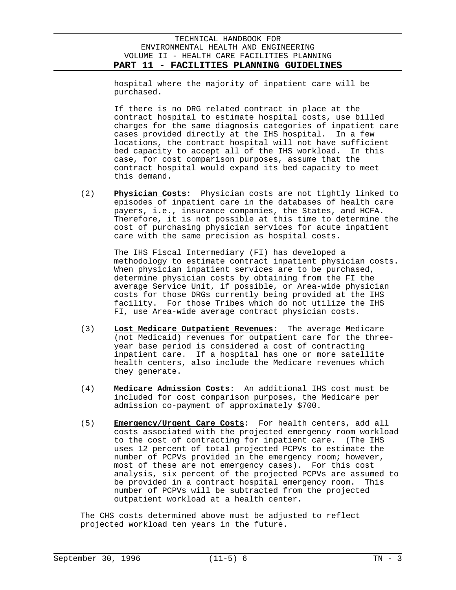hospital where the majority of inpatient care will be purchased.

If there is no DRG related contract in place at the contract hospital to estimate hospital costs, use billed charges for the same diagnosis categories of inpatient care cases provided directly at the IHS hospital. In a few locations, the contract hospital will not have sufficient bed capacity to accept all of the IHS workload. In this case, for cost comparison purposes, assume that the contract hospital would expand its bed capacity to meet this demand.

(2) **Physician Costs**: Physician costs are not tightly linked to episodes of inpatient care in the databases of health care payers, i.e., insurance companies, the States, and HCFA. Therefore, it is not possible at this time to determine the cost of purchasing physician services for acute inpatient care with the same precision as hospital costs.

The IHS Fiscal Intermediary (FI) has developed a methodology to estimate contract inpatient physician costs. When physician inpatient services are to be purchased, determine physician costs by obtaining from the FI the average Service Unit, if possible, or Area-wide physician costs for those DRGs currently being provided at the IHS facility. For those Tribes which do not utilize the IHS FI, use Area-wide average contract physician costs.

- (3) **Lost Medicare Outpatient Revenues**: The average Medicare (not Medicaid) revenues for outpatient care for the threeyear base period is considered a cost of contracting inpatient care. If a hospital has one or more satellite health centers, also include the Medicare revenues which they generate.
- (4) **Medicare Admission Costs**: An additional IHS cost must be included for cost comparison purposes, the Medicare per admission co-payment of approximately \$700.
- (5) **Emergency/Urgent Care Costs**: For health centers, add all costs associated with the projected emergency room workload to the cost of contracting for inpatient care. (The IHS uses 12 percent of total projected PCPVs to estimate the number of PCPVs provided in the emergency room; however, most of these are not emergency cases). For this cost analysis, six percent of the projected PCPVs are assumed to be provided in a contract hospital emergency room. This number of PCPVs will be subtracted from the projected outpatient workload at a health center.

The CHS costs determined above must be adjusted to reflect projected workload ten years in the future.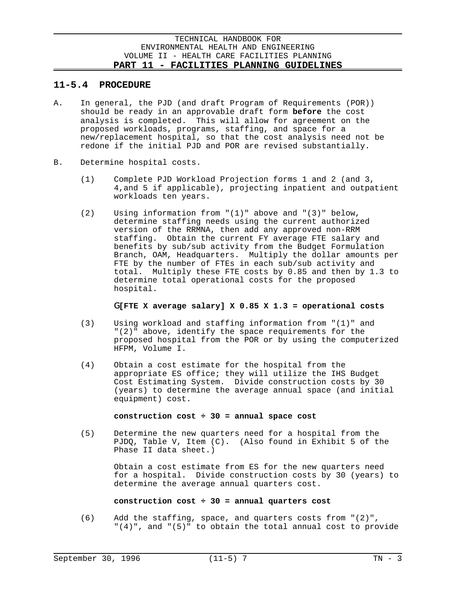# **11-5.4 PROCEDURE**

- A. In general, the PJD (and draft Program of Requirements (POR)) should be ready in an approvable draft form **before** the cost analysis is completed. This will allow for agreement on the proposed workloads, programs, staffing, and space for a new/replacement hospital, so that the cost analysis need not be redone if the initial PJD and POR are revised substantially.
- B. Determine hospital costs.
	- (1) Complete PJD Workload Projection forms 1 and 2 (and 3, 4,and 5 if applicable), projecting inpatient and outpatient workloads ten years.
	- (2) Using information from "(1)" above and "(3)" below, determine staffing needs using the current authorized version of the RRMNA, then add any approved non-RRM staffing. Obtain the current FY average FTE salary and benefits by sub/sub activity from the Budget Formulation Branch, OAM, Headquarters. Multiply the dollar amounts per FTE by the number of FTEs in each sub/sub activity and total. Multiply these FTE costs by 0.85 and then by 1.3 to determine total operational costs for the proposed hospital.

# G**[FTE X average salary] X 0.85 X 1.3 = operational costs**

- (3) Using workload and staffing information from "(1)" and "(2)" above, identify the space requirements for the proposed hospital from the POR or by using the computerized HFPM, Volume I.
- (4) Obtain a cost estimate for the hospital from the appropriate ES office; they will utilize the IHS Budget Cost Estimating System. Divide construction costs by 30 (years) to determine the average annual space (and initial equipment) cost.

### **construction cost ÷ 30 = annual space cost**

(5) Determine the new quarters need for a hospital from the PJDQ, Table V, Item (C). (Also found in Exhibit 5 of the Phase II data sheet.)

> Obtain a cost estimate from ES for the new quarters need for a hospital. Divide construction costs by 30 (years) to determine the average annual quarters cost.

### **construction cost ÷ 30 = annual quarters cost**

(6) Add the staffing, space, and quarters costs from "(2)", "(4)", and "(5)" to obtain the total annual cost to provide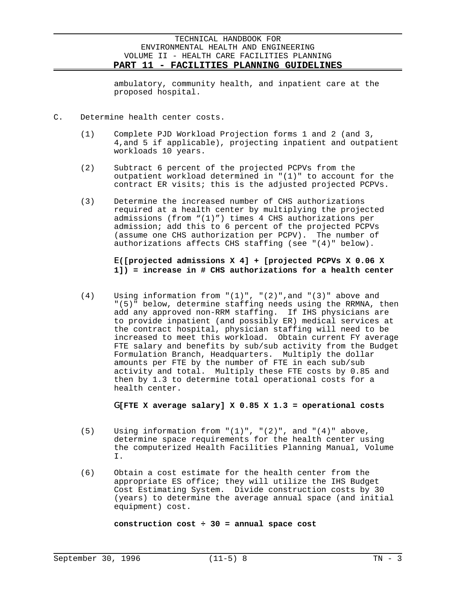ambulatory, community health, and inpatient care at the proposed hospital.

- C. Determine health center costs.
	- (1) Complete PJD Workload Projection forms 1 and 2 (and 3, 4,and 5 if applicable), projecting inpatient and outpatient workloads 10 years.
	- (2) Subtract 6 percent of the projected PCPVs from the outpatient workload determined in "(1)" to account for the contract ER visits; this is the adjusted projected PCPVs.
	- (3) Determine the increased number of CHS authorizations required at a health center by multiplying the projected admissions (from "(1)") times 4 CHS authorizations per admission; add this to 6 percent of the projected PCPVs (assume one CHS authorization per PCPV). The number of authorizations affects CHS staffing (see "(4)" below).

# E**([projected admissions X 4] + [projected PCPVs X 0.06 X 1]) = increase in # CHS authorizations for a health center**

 $(4)$  Using information from " $(1)$ ", " $(2)$ ", and " $(3)$ " above and "(5)" below, determine staffing needs using the RRMNA, then add any approved non-RRM staffing. If IHS physicians are to provide inpatient (and possibly ER) medical services at the contract hospital, physician staffing will need to be increased to meet this workload. Obtain current FY average FTE salary and benefits by sub/sub activity from the Budget Formulation Branch, Headquarters. Multiply the dollar amounts per FTE by the number of FTE in each sub/sub activity and total. Multiply these FTE costs by 0.85 and then by 1.3 to determine total operational costs for a health center.

# G**[FTE X average salary] X 0.85 X 1.3 = operational costs**

- (5) Using information from  $((1)^n, ((2)^n, and ((4)^n, above,$ determine space requirements for the health center using the computerized Health Facilities Planning Manual, Volume I.
- (6) Obtain a cost estimate for the health center from the appropriate ES office; they will utilize the IHS Budget Cost Estimating System. Divide construction costs by 30 (years) to determine the average annual space (and initial equipment) cost.

**construction cost ÷ 30 = annual space cost**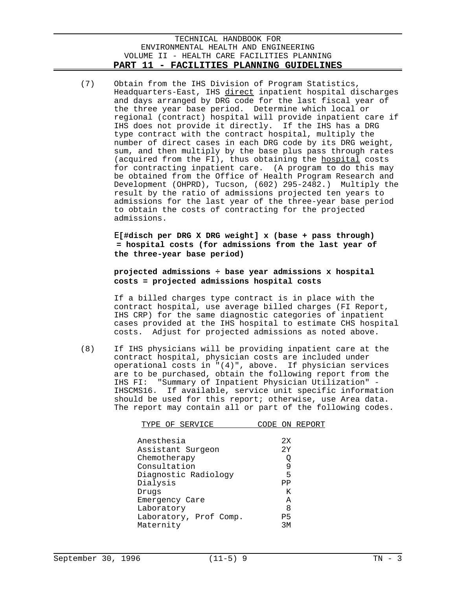(7) Obtain from the IHS Division of Program Statistics, Headquarters-East, IHS direct inpatient hospital discharges and days arranged by DRG code for the last fiscal year of the three year base period. Determine which local or regional (contract) hospital will provide inpatient care if IHS does not provide it directly. If the IHS has a DRG type contract with the contract hospital, multiply the number of direct cases in each DRG code by its DRG weight, sum, and then multiply by the base plus pass through rates (acquired from the FI), thus obtaining the hospital costs for contracting inpatient care. (A program to do this may be obtained from the Office of Health Program Research and Development (OHPRD), Tucson, (602) 295-2482.) Multiply the result by the ratio of admissions projected ten years to admissions for the last year of the three-year base period to obtain the costs of contracting for the projected admissions.

> E**[#disch per DRG X DRG weight] x (base + pass through) = hospital costs (for admissions from the last year of the three-year base period)**

# **projected admissions ÷ base year admissions x hospital costs = projected admissions hospital costs**

If a billed charges type contract is in place with the contract hospital, use average billed charges (FI Report, IHS CRP) for the same diagnostic categories of inpatient cases provided at the IHS hospital to estimate CHS hospital costs. Adjust for projected admissions as noted above.

(8) If IHS physicians will be providing inpatient care at the contract hospital, physician costs are included under operational costs in "(4)", above. If physician services are to be purchased, obtain the following report from the IHS FI: "Summary of Inpatient Physician Utilization" IHSCMS16. If available, service unit specific information should be used for this report; otherwise, use Area data. The report may contain all or part of the following codes.

| TYPE OF SERVICE        | ON REPORT      |
|------------------------|----------------|
|                        |                |
| Anesthesia             | 2x             |
| Assistant Surgeon      | 2Y             |
| Chemotherapy           | Q              |
| Consultation           | 9              |
| Diagnostic Radiology   | 5              |
| Dialysis               | PP             |
| Drugs                  | Κ              |
| Emergency Care         | A              |
| Laboratory             | 8              |
| Laboratory, Prof Comp. | P <sub>5</sub> |
| Maternity              | RК             |
|                        |                |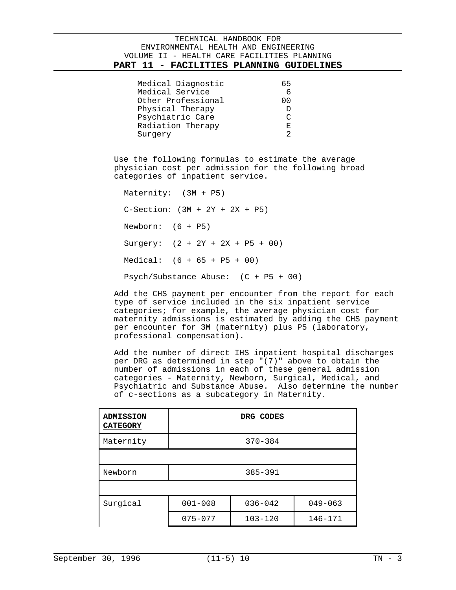| Medical Diagnostic | 65     |
|--------------------|--------|
| Medical Service    |        |
| Other Professional | 00     |
| Physical Therapy   |        |
| Psychiatric Care   | $\cap$ |
| Radiation Therapy  | F.     |
| Surgery            | っ      |

Use the following formulas to estimate the average physician cost per admission for the following broad categories of inpatient service.

| Maternity: (3M + P5)                   |  |  |  |  |  |
|----------------------------------------|--|--|--|--|--|
| $C-Section: (3M + 2Y + 2X + P5)$       |  |  |  |  |  |
| Newborn: $(6 + P5)$                    |  |  |  |  |  |
| Surgery: $(2 + 2Y + 2X + P5 + 00)$     |  |  |  |  |  |
| Medical: $(6 + 65 + P5 + 00)$          |  |  |  |  |  |
| Psych/Substance Abuse: $(C + P5 + 00)$ |  |  |  |  |  |

Add the CHS payment per encounter from the report for each type of service included in the six inpatient service categories; for example, the average physician cost for maternity admissions is estimated by adding the CHS payment per encounter for 3M (maternity) plus P5 (laboratory, professional compensation).

Add the number of direct IHS inpatient hospital discharges per DRG as determined in step "(7)" above to obtain the number of admissions in each of these general admission categories - Maternity, Newborn, Surgical, Medical, and Psychiatric and Substance Abuse. Also determine the number of c-sections as a subcategory in Maternity.

| <b>ADMISSION</b><br><b>CATEGORY</b> |             | DRG CODES   |             |
|-------------------------------------|-------------|-------------|-------------|
| Maternity                           |             | $370 - 384$ |             |
|                                     |             |             |             |
| Newborn                             |             | $385 - 391$ |             |
|                                     |             |             |             |
| Surgical                            | $001 - 008$ | $036 - 042$ | $049 - 063$ |
|                                     | $075 - 077$ | $103 - 120$ | $146 - 171$ |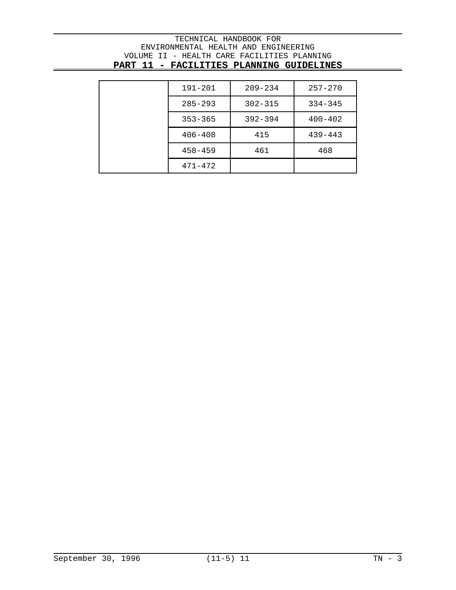| 191-201     | $209 - 234$ | $257 - 270$ |
|-------------|-------------|-------------|
| $285 - 293$ | $302 - 315$ | $334 - 345$ |
| $353 - 365$ | $392 - 394$ | $400 - 402$ |
| $406 - 408$ | 415         | $439 - 443$ |
| $458 - 459$ | 461         | 468         |
| $471 - 472$ |             |             |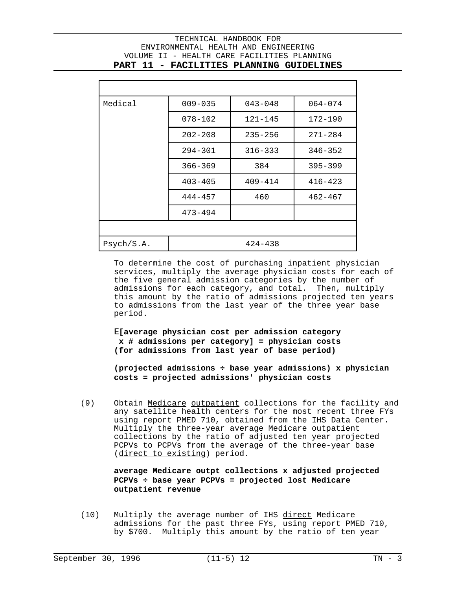$\overline{a}$ 

| Medical    | $009 - 035$ | $043 - 048$ | $064 - 074$ |  |  |  |
|------------|-------------|-------------|-------------|--|--|--|
|            | $078 - 102$ | $121 - 145$ | $172 - 190$ |  |  |  |
|            | $202 - 208$ | $235 - 256$ | $271 - 284$ |  |  |  |
|            | $294 - 301$ | $316 - 333$ | $346 - 352$ |  |  |  |
|            | $366 - 369$ | 384         | $395 - 399$ |  |  |  |
|            | $403 - 405$ | $409 - 414$ | $416 - 423$ |  |  |  |
|            | $444 - 457$ | 460         | $462 - 467$ |  |  |  |
|            | $473 - 494$ |             |             |  |  |  |
|            |             |             |             |  |  |  |
| Psych/S.A. | $424 - 438$ |             |             |  |  |  |

To determine the cost of purchasing inpatient physician services, multiply the average physician costs for each of the five general admission categories by the number of admissions for each category, and total. Then, multiply this amount by the ratio of admissions projected ten years to admissions from the last year of the three year base period.

E**[average physician cost per admission category x # admissions per category] = physician costs (for admissions from last year of base period)**

**(projected admissions ÷ base year admissions) x physician costs = projected admissions' physician costs**

(9) Obtain Medicare outpatient collections for the facility and any satellite health centers for the most recent three FYs using report PMED 710, obtained from the IHS Data Center. Multiply the three-year average Medicare outpatient collections by the ratio of adjusted ten year projected PCPVs to PCPVs from the average of the three-year base (direct to existing) period.

> **average Medicare outpt collections x adjusted projected PCPVs ÷ base year PCPVs = projected lost Medicare outpatient revenue**

(10) Multiply the average number of IHS direct Medicare admissions for the past three FYs, using report PMED 710, by \$700. Multiply this amount by the ratio of ten year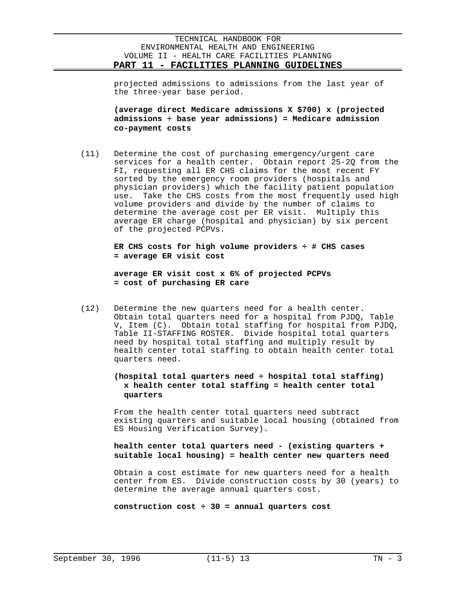projected admissions to admissions from the last year of the three-year base period.

**(average direct Medicare admissions X \$700) x (projected admissions ÷ base year admissions) = Medicare admission co-payment costs** 

(11) Determine the cost of purchasing emergency/urgent care services for a health center. Obtain report 25-2Q from the FI, requesting all ER CHS claims for the most recent FY sorted by the emergency room providers (hospitals and physician providers) which the facility patient population use. Take the CHS costs from the most frequently used high volume providers and divide by the number of claims to determine the average cost per ER visit. Multiply this average ER charge (hospital and physician) by six percent of the projected PCPVs.

> **ER CHS costs for high volume providers ÷ # CHS cases = average ER visit cost**

**average ER visit cost x 6% of projected PCPVs = cost of purchasing ER care**

(12) Determine the new quarters need for a health center. Obtain total quarters need for a hospital from PJDQ, Table V, Item (C). Obtain total staffing for hospital from PJDQ, Table II-STAFFING ROSTER. Divide hospital total quarters need by hospital total staffing and multiply result by health center total staffing to obtain health center total quarters need.

# **(hospital total quarters need ÷ hospital total staffing) x health center total staffing = health center total quarters**

From the health center total quarters need subtract existing quarters and suitable local housing (obtained from ES Housing Verification Survey).

# **health center total quarters need - (existing quarters + suitable local housing) = health center new quarters need**

Obtain a cost estimate for new quarters need for a health center from ES. Divide construction costs by 30 (years) to determine the average annual quarters cost.

**construction cost ÷ 30 = annual quarters cost**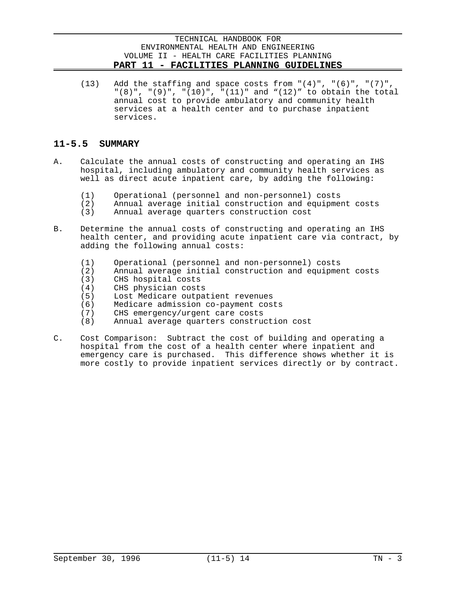(13) Add the staffing and space costs from  $((4)$ ", " $(6)$ ", " $(7)$ ", "(8)", "(9)", "(10)", "(11)" and "(12)" to obtain the total annual cost to provide ambulatory and community health services at a health center and to purchase inpatient services.

# **11-5.5 SUMMARY**

- A. Calculate the annual costs of constructing and operating an IHS hospital, including ambulatory and community health services as well as direct acute inpatient care, by adding the following:
	- (1) Operational (personnel and non-personnel) costs
	- (2) Annual average initial construction and equipment costs
	- (3) Annual average quarters construction cost
- B. Determine the annual costs of constructing and operating an IHS health center, and providing acute inpatient care via contract, by adding the following annual costs:
	- (1) Operational (personnel and non-personnel) costs
	- (2) Annual average initial construction and equipment costs
	- (3) CHS hospital costs
	- (4) CHS physician costs
	- (5) Lost Medicare outpatient revenues
	- (6) Medicare admission co-payment costs
	- (7) CHS emergency/urgent care costs
	- (8) Annual average quarters construction cost
- C. Cost Comparison: Subtract the cost of building and operating a hospital from the cost of a health center where inpatient and emergency care is purchased. This difference shows whether it is more costly to provide inpatient services directly or by contract.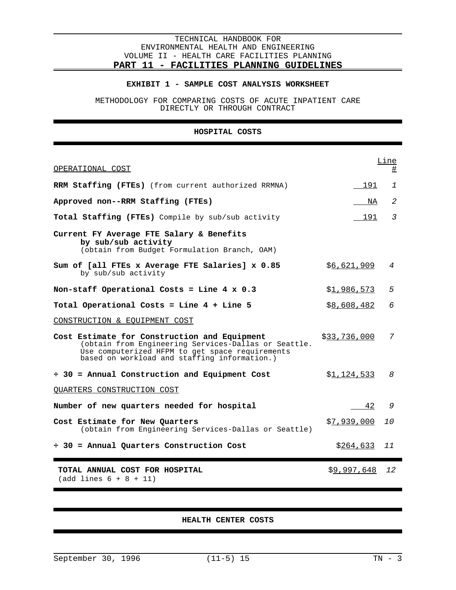#### **EXHIBIT 1 - SAMPLE COST ANALYSIS WORKSHEET**

METHODOLOGY FOR COMPARING COSTS OF ACUTE INPATIENT CARE DIRECTLY OR THROUGH CONTRACT

### **HOSPITAL COSTS**

| OPERATIONAL COST                                                                                                                                                                                        |                     | <b>Line</b><br>坓 |
|---------------------------------------------------------------------------------------------------------------------------------------------------------------------------------------------------------|---------------------|------------------|
| RRM Staffing (FTEs) (from current authorized RRMNA)                                                                                                                                                     | 191                 | 1                |
| Approved non--RRM Staffing (FTEs)                                                                                                                                                                       | NA                  | 2                |
| Total Staffing (FTEs) Compile by sub/sub activity                                                                                                                                                       | 191                 | 3                |
| Current FY Average FTE Salary & Benefits<br>by sub/sub activity<br>(obtain from Budget Formulation Branch, OAM)                                                                                         |                     |                  |
| Sum of [all FTEs x Average FTE Salaries] x 0.85<br>by sub/sub activity                                                                                                                                  | \$6,621,909         | 4                |
| Non-staff Operational Costs = Line $4 \times 0.3$                                                                                                                                                       | \$ <u>1,986,573</u> | 5                |
| Total Operational Costs = Line 4 + Line 5                                                                                                                                                               | \$8,608,482         | 6                |
| CONSTRUCTION & EQUIPMENT COST                                                                                                                                                                           |                     |                  |
| Cost Estimate for Construction and Equipment<br>(obtain from Engineering Services-Dallas or Seattle.<br>Use computerized HFPM to get space requirements<br>based on workload and staffing information.) | \$33,736,000        | 7                |
| $\div$ 30 = Annual Construction and Equipment Cost                                                                                                                                                      | \$1,124,533         | 8                |
| <b>QUARTERS CONSTRUCTION COST</b>                                                                                                                                                                       |                     |                  |
| Number of new quarters needed for hospital                                                                                                                                                              | 42                  | 9                |
| Cost Estimate for New Quarters<br>(obtain from Engineering Services-Dallas or Seattle)                                                                                                                  | \$7,939,000         | <i>10</i>        |
| $\div$ 30 = Annual Quarters Construction Cost                                                                                                                                                           | \$ <u>264,633</u>   | 11               |
| TOTAL ANNUAL COST FOR HOSPITAL<br>$(add lines 6 + 8 + 11)$                                                                                                                                              | \$9,997,648         | 12               |

### **HEALTH CENTER COSTS**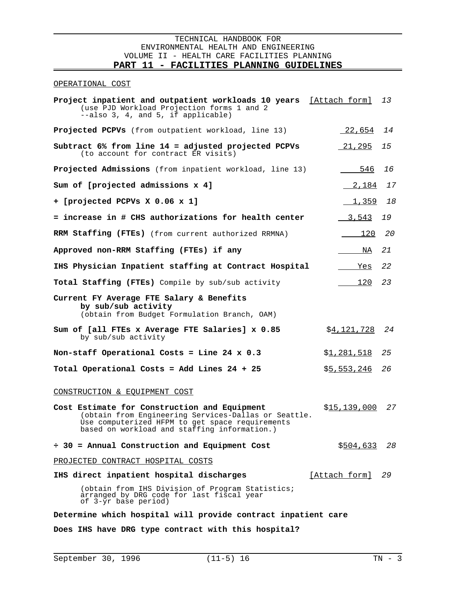$\overline{a}$ 

#### OPERATIONAL COST

| Project inpatient and outpatient workloads 10 years [Attach form] 13<br>(use PJD Workload Projection forms 1 and 2<br>--also 3, 4, and 5, if applicable)                                                |                      |    |
|---------------------------------------------------------------------------------------------------------------------------------------------------------------------------------------------------------|----------------------|----|
| <b>Projected PCPVs</b> (from outpatient workload, line 13)                                                                                                                                              | $-22,654$            | 14 |
| Subtract 6% from line 14 = adjusted projected PCPVs<br>(to account for contract ER visits)                                                                                                              | <u>21,295</u>        | 15 |
| Projected Admissions (from inpatient workload, line 13)                                                                                                                                                 | 546                  | 16 |
| Sum of [projected admissions x 4]                                                                                                                                                                       | 2,184                | 17 |
| + [projected PCPVs X 0.06 x 1]                                                                                                                                                                          | 1,359                | 18 |
| = increase in # CHS authorizations for health center                                                                                                                                                    | <u>3,543</u>         | 19 |
| RRM Staffing (FTEs) (from current authorized RRMNA)                                                                                                                                                     | 120                  | 20 |
| Approved non-RRM Staffing (FTEs) if any                                                                                                                                                                 | NA                   | 21 |
| IHS Physician Inpatient staffing at Contract Hospital                                                                                                                                                   | Yes                  | 22 |
| <b>Total Staffing (FTEs)</b> Compile by sub/sub activity                                                                                                                                                | 120                  | 23 |
| Current FY Average FTE Salary & Benefits<br>by sub/sub activity<br>(obtain from Budget Formulation Branch, OAM)                                                                                         |                      |    |
| Sum of [all FTEs x Average FTE Salaries] x 0.85<br>by sub/sub activity                                                                                                                                  | \$ <u>4,121,728</u>  | 24 |
| Non-staff Operational Costs = Line 24 $x$ 0.3                                                                                                                                                           | <u>\$1,281,518</u>   | 25 |
| Total Operational Costs = Add Lines 24 + 25                                                                                                                                                             | \$5,553,246          | 26 |
| CONSTRUCTION & EQUIPMENT COST                                                                                                                                                                           |                      |    |
| Cost Estimate for Construction and Equipment<br>(obtain from Engineering Services-Dallas or Seattle.<br>Use computerized HFPM to get space requirements<br>based on workload and staffing information.) | \$15,139,000         | 27 |
| $\div$ 30 = Annual Construction and Equipment Cost                                                                                                                                                      | \$504,633            | 28 |
| PROJECTED CONTRACT HOSPITAL COSTS                                                                                                                                                                       |                      |    |
| IHS direct inpatient hospital discharges                                                                                                                                                                | <u>[Attach form]</u> | 29 |
| (obtain from IHS Division of Program Statistics;<br>arranged by DRG code for last fiscal year<br>of 3-yr base period)                                                                                   |                      |    |
| 222 J L 2010 - 22 J J J L                                                                                                                                                                               |                      |    |

**Determine which hospital will provide contract inpatient care**

**Does IHS have DRG type contract with this hospital?**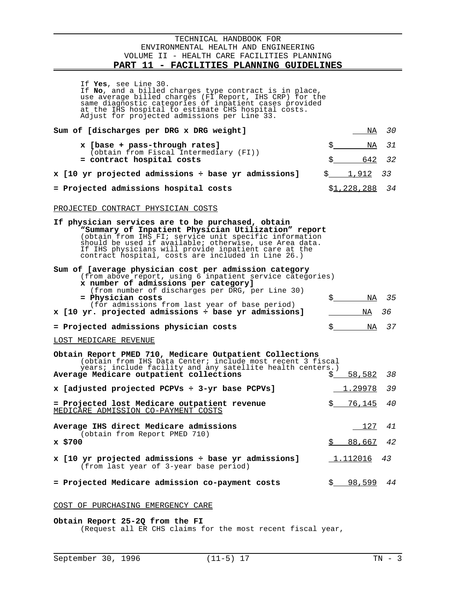$\overline{a}$ 

| If Yes, see Line 30.<br>If No, and a billed charges type contract is in place,<br>use average billed charges (FI Report, IHS CRP) for the<br>same diagnostic categories of inpatient cases provided<br>at the IHS hospital to estimate CHS hospital costs.<br>Adjust for projected admissions per Line 33.                                    |             |                     |          |  |  |  |
|-----------------------------------------------------------------------------------------------------------------------------------------------------------------------------------------------------------------------------------------------------------------------------------------------------------------------------------------------|-------------|---------------------|----------|--|--|--|
| Sum of [discharges per DRG x DRG weight]                                                                                                                                                                                                                                                                                                      |             | NA                  | 30       |  |  |  |
| x [base + pass-through rates]                                                                                                                                                                                                                                                                                                                 | \$          | NA                  | 31       |  |  |  |
| (obtain from Fiscal Intermediary (FI))<br>= contract hospital costs                                                                                                                                                                                                                                                                           | Ś.          | 642                 | 32       |  |  |  |
| x [10 yr projected admissions ÷ base yr admissions]                                                                                                                                                                                                                                                                                           | $S$ and $S$ | 1,912               | 33       |  |  |  |
| = Projected admissions hospital costs                                                                                                                                                                                                                                                                                                         |             | \$ <u>1,228,288</u> | 34       |  |  |  |
| PROJECTED CONTRACT PHYSICIAN COSTS                                                                                                                                                                                                                                                                                                            |             |                     |          |  |  |  |
| If physician services are to be purchased, obtain<br>"Summary of Inpatient Physician Utilization" report<br>(obtain from IHS FI; service unit specific information<br>should be used if available; otherwise, use Area data.<br>If IHS physicians will provide inpatient care at the<br>contract hospital, costs are included in Line 26.)    |             |                     |          |  |  |  |
| Sum of [average physician cost per admission category<br>(from above report, using 6 inpatient service categories)<br>x number of admissions per category]<br>(from number of discharges per DRG, per Line 30)<br>= Physician costs<br>(for admissions from last year of base period)<br>x [10 yr. projected admissions ÷ base yr admissions] | \$_         | NA<br>NA            | 35<br>36 |  |  |  |
| = Projected admissions physician costs                                                                                                                                                                                                                                                                                                        | \$_         | NA                  | 37       |  |  |  |
| LOST MEDICARE REVENUE                                                                                                                                                                                                                                                                                                                         |             |                     |          |  |  |  |
| Obtain Report PMED 710, Medicare Outpatient Collections<br>(obtain from IHS Data Center; include most recent 3 fiscal<br>years; include facility and any satellite health centers.)<br>Average Medicare outpatient collections                                                                                                                | \$          | 58,582              | 38       |  |  |  |
| x [adjusted projected PCPVs ÷ 3-yr base PCPVs]                                                                                                                                                                                                                                                                                                |             | <u>1.29978</u>      | 39       |  |  |  |
| = Projected lost Medicare outpatient revenue<br><u>MEDICĀRE ADMISSION CO-PAYMENT COSTS</u>                                                                                                                                                                                                                                                    |             | 76,145              | 40       |  |  |  |
| Average IHS direct Medicare admissions                                                                                                                                                                                                                                                                                                        |             | 127                 | 41       |  |  |  |
| (obtain from Report PMED 710)<br>x \$700                                                                                                                                                                                                                                                                                                      | \$          | 88,667              | 42       |  |  |  |
| x [10 yr projected admissions ÷ base yr admissions]<br>(from last year of 3-year base period)                                                                                                                                                                                                                                                 |             | <u>1.112016</u>     | 43       |  |  |  |
| = Projected Medicare admission co-payment costs                                                                                                                                                                                                                                                                                               | \$          | 98,599              | 44       |  |  |  |
|                                                                                                                                                                                                                                                                                                                                               |             |                     |          |  |  |  |

### COST OF PURCHASING EMERGENCY CARE

### **Obtain Report 25-2Q from the FI**

(Request all ER CHS claims for the most recent fiscal year,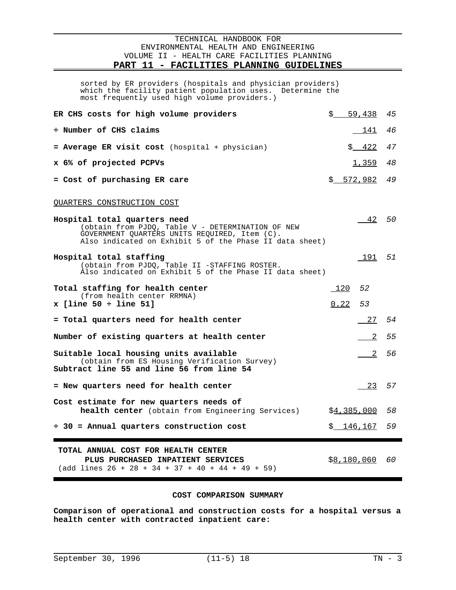$\overline{a}$ 

sorted by ER providers (hospitals and physician providers) sorted by ER providers (hospitals and physician providers)<br>which the facility patient population uses. Determine the which the facility patient population uses. Determine the<br>most frequently used high volume providers.)

| ER CHS costs for high volume providers                                                                                                                                                        | \$        | 59,438              | 45 |
|-----------------------------------------------------------------------------------------------------------------------------------------------------------------------------------------------|-----------|---------------------|----|
| ÷ Number of CHS claims                                                                                                                                                                        |           | 141                 | 46 |
| = Average ER visit cost (hospital + physician)                                                                                                                                                |           | \$ 422              | 47 |
| x 6% of projected PCPVs                                                                                                                                                                       |           | 1,359               | 48 |
| = Cost of purchasing ER care                                                                                                                                                                  |           | \$ 572,982          | 49 |
| QUARTERS CONSTRUCTION COST                                                                                                                                                                    |           |                     |    |
| Hospital total quarters need<br>(obtain from PJDQ, Table V - DETERMINATION OF NEW<br>GOVERNMENT QUARTERS UNITS REQUIRED, Item (C).<br>Also indicated on Exhibit 5 of the Phase II data sheet) |           | $-42$ 50            |    |
| Hospital total staffing<br>(obtain from PJDQ, Table II -STAFFING ROSTER.<br>Also indicated on Exhibit 5 of the Phase II data sheet)                                                           |           | 191 51              |    |
| Total staffing for health center<br>(from health center RRMNA)                                                                                                                                | $120$ 52  |                     |    |
| $x$ [line 50 ÷ line 51]                                                                                                                                                                       | $0.22$ 53 |                     |    |
| = Total quarters need for health center                                                                                                                                                       |           | 27 54               |    |
| Number of existing quarters at health center                                                                                                                                                  |           | $\overline{2}$      | 55 |
| Suitable local housing units available<br>(obtain from ES Housing Verification Survey)<br>Subtract line 55 and line 56 from line 54                                                           |           | 2                   | 56 |
| = New quarters need for health center                                                                                                                                                         |           | 23 57               |    |
| Cost estimate for new quarters needs of<br>health center (obtain from Engineering Services)                                                                                                   |           | \$4,385,000         | 58 |
| $\div$ 30 = Annual quarters construction cost                                                                                                                                                 |           | \$146,167           | 59 |
| TOTAL ANNUAL COST FOR HEALTH CENTER<br>PLUS PURCHASED INPATIENT SERVICES<br>$(add lines 26 + 28 + 34 + 37 + 40 + 44 + 49 + 59)$                                                               |           | \$ <u>8,180,060</u> | 60 |

### **COST COMPARISON SUMMARY**

**Comparison of operational and construction costs for a hospital versus a health center with contracted inpatient care:**